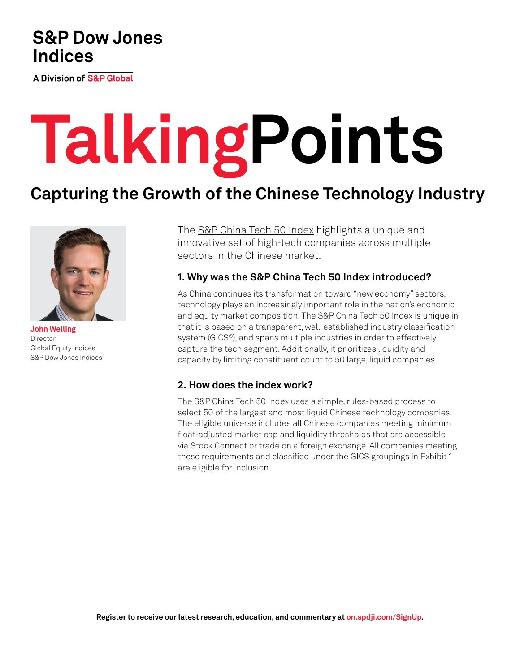# **S&P Dow Jones Indices**

A Division of S&P Global

# **TalkingPoints**

# **Capturing the Growth of the Chinese Technology Industry**



**John Welling** Director Global Equity Indices S&P Dow Jones Indices

The [S&P China Tech 50 Index](https://www.spglobal.com/spdji/en/indices/equity/sp-china-tech-50-index/#overview?utm_source=pdf_education) highlights a unique and innovative set of high-tech companies across multiple sectors in the Chinese market.

# **1. Why was the S&P China Tech 50 Index introduced?**

As China continues its transformation toward "new economy" sectors, technology plays an increasingly important role in the nation's economic and equity market composition. The S&P China Tech 50 Index is unique in that it is based on a transparent, well-established industry classification system (GICS®), and spans multiple industries in order to effectively capture the tech segment. Additionally, it prioritizes liquidity and capacity by limiting constituent count to 50 large, liquid companies.

# **2. How does the index work?**

The S&P China Tech 50 Index uses a simple, rules-based process to select 50 of the largest and most liquid Chinese technology companies. The eligible universe includes all Chinese companies meeting minimum float-adjusted market cap and liquidity thresholds that are accessible via Stock Connect or trade on a foreign exchange. All companies meeting these requirements and classified under the GICS groupings in Exhibit 1 are eligible for inclusion.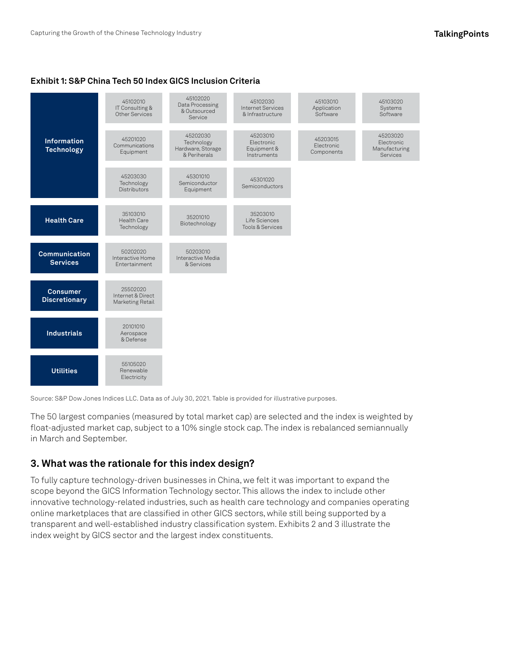#### **Exhibit 1: S&P China Tech 50 Index GICS Inclusion Criteria**



Source: S&P Dow Jones Indices LLC. Data as of July 30, 2021. Table is provided for illustrative purposes.

The 50 largest companies (measured by total market cap) are selected and the index is weighted by float-adjusted market cap, subject to a 10% single stock cap. The index is rebalanced semiannually in March and September.

## **3. What was the rationale for this index design?**

To fully capture technology-driven businesses in China, we felt it was important to expand the scope beyond the GICS Information Technology sector. This allows the index to include other innovative technology-related industries, such as health care technology and companies operating online marketplaces that are classified in other GICS sectors, while still being supported by a transparent and well-established industry classification system. Exhibits 2 and 3 illustrate the index weight by GICS sector and the largest index constituents.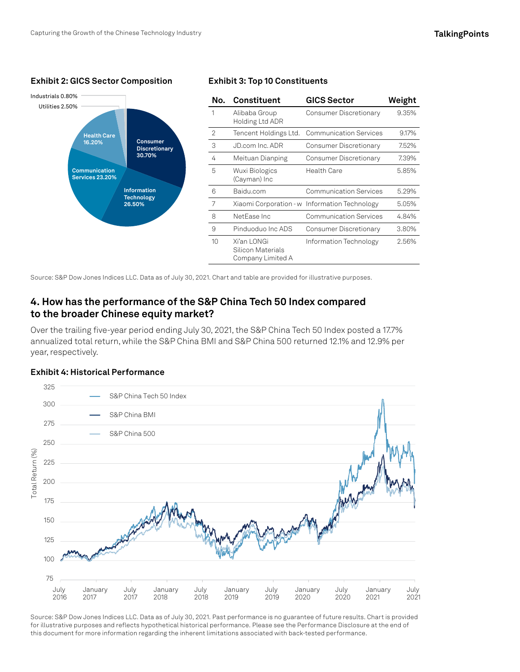#### **Exhibit 2: GICS Sector Composition Exhibit 3: Top 10 Constituents**



Source: S&P Dow Jones Indices LLC. Data as of July 30, 2021. Chart and table are provided for illustrative purposes.

# **4. How has the performance of the S&P China Tech 50 Index compared to the broader Chinese equity market?**

Over the trailing five-year period ending July 30, 2021, the S&P China Tech 50 Index posted a 17.7% annualized total return, while the S&P China BMI and S&P China 500 returned 12.1% and 12.9% per year, respectively.



**Exhibit 4: Historical Performance**

Source: S&P Dow Jones Indices LLC. Data as of July 30, 2021. Past performance is no guarantee of future results. Chart is provided for illustrative purposes and reflects hypothetical historical performance. Please see the Performance Disclosure at the end of this document for more information regarding the inherent limitations associated with back-tested performance.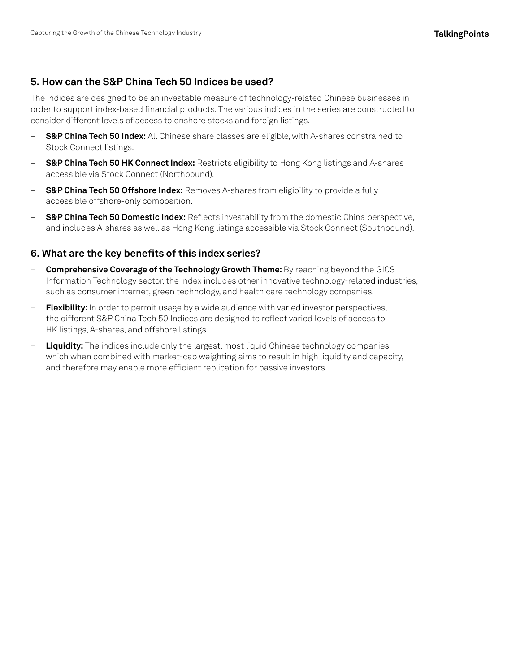# **5. How can the S&P China Tech 50 Indices be used?**

The indices are designed to be an investable measure of technology-related Chinese businesses in order to support index-based financial products. The various indices in the series are constructed to consider different levels of access to onshore stocks and foreign listings.

- **[S&P China Tech 50 Index:](https://www.spglobal.com/spdji/en/indices/equity/sp-china-tech-50-index/?utm_source=pdf_education)** All Chinese share classes are eligible, with A-shares constrained to Stock Connect listings.
- **[S&P China Tech 50 HK Connect Index:](https://www.spglobal.com/spdji/en/indices/equity/sp-china-tech-50-hk-connect-index/#overview?utm_source=pdf_education)** Restricts eligibility to Hong Kong listings and A-shares accessible via Stock Connect (Northbound).
- **S&P China Tech 50 Offshore Index:** Removes A-shares from eligibility to provide a fully accessible offshore-only composition.
- **[S&P China Tech 50 Domestic Index:](https://www.spglobal.com/spdji/en/indices/equity/sp-china-tech-50-domestic-index/#overview?utm_source=pdf_education)** Reflects investability from the domestic China perspective, and includes A-shares as well as Hong Kong listings accessible via Stock Connect (Southbound).

### **6. What are the key benefits of this index series?**

- **Comprehensive Coverage of the Technology Growth Theme:** By reaching beyond the GICS Information Technology sector, the index includes other innovative technology-related industries, such as consumer internet, green technology, and health care technology companies.
- **Flexibility:** In order to permit usage by a wide audience with varied investor perspectives, the different S&P China Tech 50 Indices are designed to reflect varied levels of access to HK listings, A-shares, and offshore listings.
- **Liquidity:** The indices include only the largest, most liquid Chinese technology companies, which when combined with market-cap weighting aims to result in high liquidity and capacity, and therefore may enable more efficient replication for passive investors.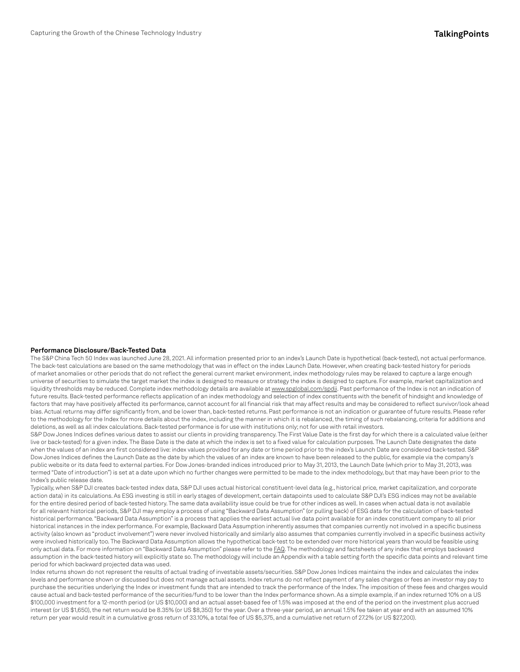#### **Performance Disclosure/Back-Tested Data**

The S&P China Tech 50 Index was launched June 28, 2021. All information presented prior to an index's Launch Date is hypothetical (back-tested), not actual performance. The back-test calculations are based on the same methodology that was in effect on the index Launch Date. However, when creating back-tested history for periods of market anomalies or other periods that do not reflect the general current market environment, index methodology rules may be relaxed to capture a large enough universe of securities to simulate the target market the index is designed to measure or strategy the index is designed to capture. For example, market capitalization and liquidity thresholds may be reduced. Complete index methodology details are available at [www.spglobal.com/spdji](http://www.spglobal.com/spdji/en?utm_source=pdf_education). Past performance of the Index is not an indication of future results. Back-tested performance reflects application of an index methodology and selection of index constituents with the benefit of hindsight and knowledge of factors that may have positively affected its performance, cannot account for all financial risk that may affect results and may be considered to reflect survivor/look ahead bias. Actual returns may differ significantly from, and be lower than, back-tested returns. Past performance is not an indication or guarantee of future results. Please refer to the methodology for the Index for more details about the index, including the manner in which it is rebalanced, the timing of such rebalancing, criteria for additions and deletions, as well as all index calculations. Back-tested performance is for use with institutions only; not for use with retail investors.

S&P Dow Jones Indices defines various dates to assist our clients in providing transparency. The First Value Date is the first day for which there is a calculated value (either live or back-tested) for a given index. The Base Date is the date at which the index is set to a fixed value for calculation purposes. The Launch Date designates the date when the values of an index are first considered live: index values provided for any date or time period prior to the index's Launch Date are considered back-tested. S&P Dow Jones Indices defines the Launch Date as the date by which the values of an index are known to have been released to the public, for example via the company's public website or its data feed to external parties. For Dow Jones-branded indices introduced prior to May 31, 2013, the Launch Date (which prior to May 31, 2013, was termed "Date of introduction") is set at a date upon which no further changes were permitted to be made to the index methodology, but that may have been prior to the Index's public release date.

Typically, when S&P DJI creates back-tested index data, S&P DJI uses actual historical constituent-level data (e.g., historical price, market capitalization, and corporate action data) in its calculations. As ESG investing is still in early stages of development, certain datapoints used to calculate S&P DJI's ESG indices may not be available for the entire desired period of back-tested history. The same data availability issue could be true for other indices as well. In cases when actual data is not available for all relevant historical periods, S&P DJI may employ a process of using "Backward Data Assumption" (or pulling back) of ESG data for the calculation of back-tested historical performance. "Backward Data Assumption" is a process that applies the earliest actual live data point available for an index constituent company to all prior historical instances in the index performance. For example, Backward Data Assumption inherently assumes that companies currently not involved in a specific business activity (also known as "product involvement") were never involved historically and similarly also assumes that companies currently involved in a specific business activity were involved historically too. The Backward Data Assumption allows the hypothetical back-test to be extended over more historical years than would be feasible using only actual data. For more information on "Backward Data Assumption" please refer to the [FAQ](https://www.spglobal.com/spdji/en/education/article/faq-esg-back-testing-backward-data-assumption-overview/?utm_source=pdf_education). The methodology and factsheets of any index that employs backward assumption in the back-tested history will explicitly state so. The methodology will include an Appendix with a table setting forth the specific data points and relevant time period for which backward projected data was used.

Index returns shown do not represent the results of actual trading of investable assets/securities. S&P Dow Jones Indices maintains the index and calculates the index levels and performance shown or discussed but does not manage actual assets. Index returns do not reflect payment of any sales charges or fees an investor may pay to purchase the securities underlying the Index or investment funds that are intended to track the performance of the Index. The imposition of these fees and charges would cause actual and back-tested performance of the securities/fund to be lower than the Index performance shown. As a simple example, if an index returned 10% on a US \$100,000 investment for a 12-month period (or US \$10,000) and an actual asset-based fee of 1.5% was imposed at the end of the period on the investment plus accrued interest (or US \$1,650), the net return would be 8.35% (or US \$8,350) for the year. Over a three-year period, an annual 1.5% fee taken at year end with an assumed 10% return per year would result in a cumulative gross return of 33.10%, a total fee of US \$5,375, and a cumulative net return of 27.2% (or US \$27,200).